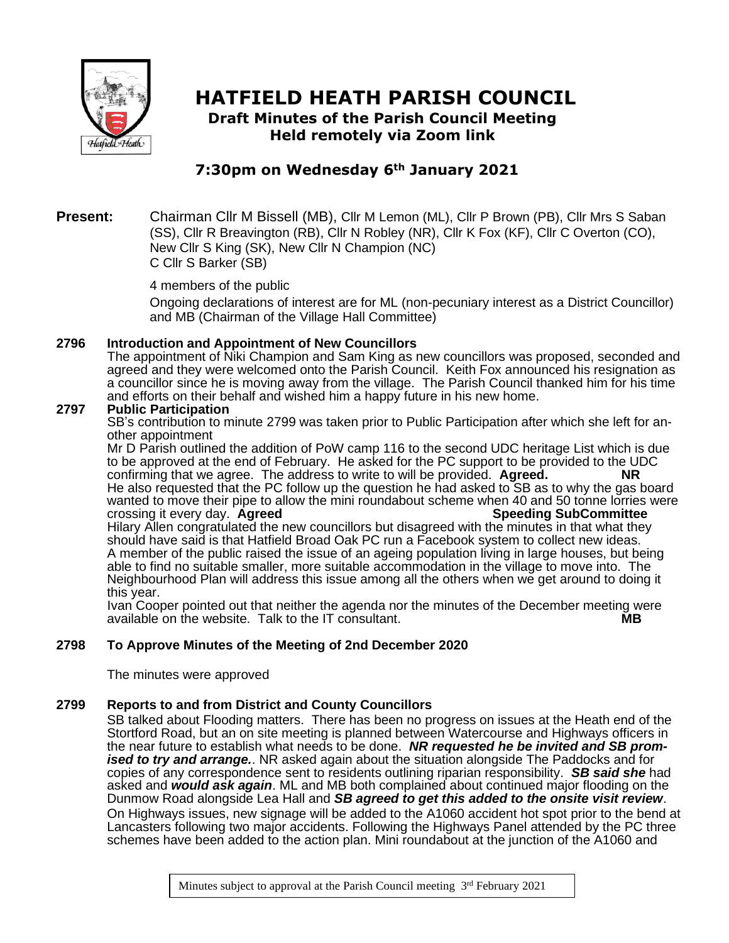

# **HATFIELD HEATH PARISH COUNCIL Draft Minutes of the Parish Council Meeting**

**Held remotely via Zoom link**

# **7:30pm on Wednesday 6th January 2021**

## **Present:** Chairman Cllr M Bissell (MB), Cllr M Lemon (ML), Cllr P Brown (PB), Cllr Mrs S Saban (SS), Cllr R Breavington (RB), Cllr N Robley (NR), Cllr K Fox (KF), Cllr C Overton (CO), New Cllr S King (SK), New Cllr N Champion (NC) C Cllr S Barker (SB)

4 members of the public

Ongoing declarations of interest are for ML (non-pecuniary interest as a District Councillor) and MB (Chairman of the Village Hall Committee)

# **2796 Introduction and Appointment of New Councillors**

The appointment of Niki Champion and Sam King as new councillors was proposed, seconded and agreed and they were welcomed onto the Parish Council. Keith Fox announced his resignation as a councillor since he is moving away from the village. The Parish Council thanked him for his time and efforts on their behalf and wished him a happy future in his new home.

# **2797 Public Participation**

SB's contribution to minute 2799 was taken prior to Public Participation after which she left for another appointment

Mr D Parish outlined the addition of PoW camp 116 to the second UDC heritage List which is due to be approved at the end of February. He asked for the PC support to be provided to the UDC confirming that we agree. The address to write to will be provided. **Agreed. NR** He also requested that the PC follow up the question he had asked to SB as to why the gas board wanted to move their pipe to allow the mini roundabout scheme when 40 and 50 tonne lorries were<br>crossing it every day. Agreed crossing it every day. **Agreed** Hilary Allen congratulated the new councillors but disagreed with the minutes in that what they should have said is that Hatfield Broad Oak PC run a Facebook system to collect new ideas. A member of the public raised the issue of an ageing population living in large houses, but being able to find no suitable smaller, more suitable accommodation in the village to move into. The Neighbourhood Plan will address this issue among all the others when we get around to doing it this year.

Ivan Cooper pointed out that neither the agenda nor the minutes of the December meeting were available on the website. Talk to the IT consultant. **MB**

# **2798 To Approve Minutes of the Meeting of 2nd December 2020**

The minutes were approved

# **2799 Reports to and from District and County Councillors**

SB talked about Flooding matters. There has been no progress on issues at the Heath end of the Stortford Road, but an on site meeting is planned between Watercourse and Highways officers in the near future to establish what needs to be done. *NR requested he be invited and SB promised to try and arrange.*. NR asked again about the situation alongside The Paddocks and for copies of any correspondence sent to residents outlining riparian responsibility. *SB said she* had asked and *would ask again*. ML and MB both complained about continued major flooding on the Dunmow Road alongside Lea Hall and *SB agreed to get this added to the onsite visit review*. On Highways issues, new signage will be added to the A1060 accident hot spot prior to the bend at Lancasters following two major accidents. Following the Highways Panel attended by the PC three schemes have been added to the action plan. Mini roundabout at the junction of the A1060 and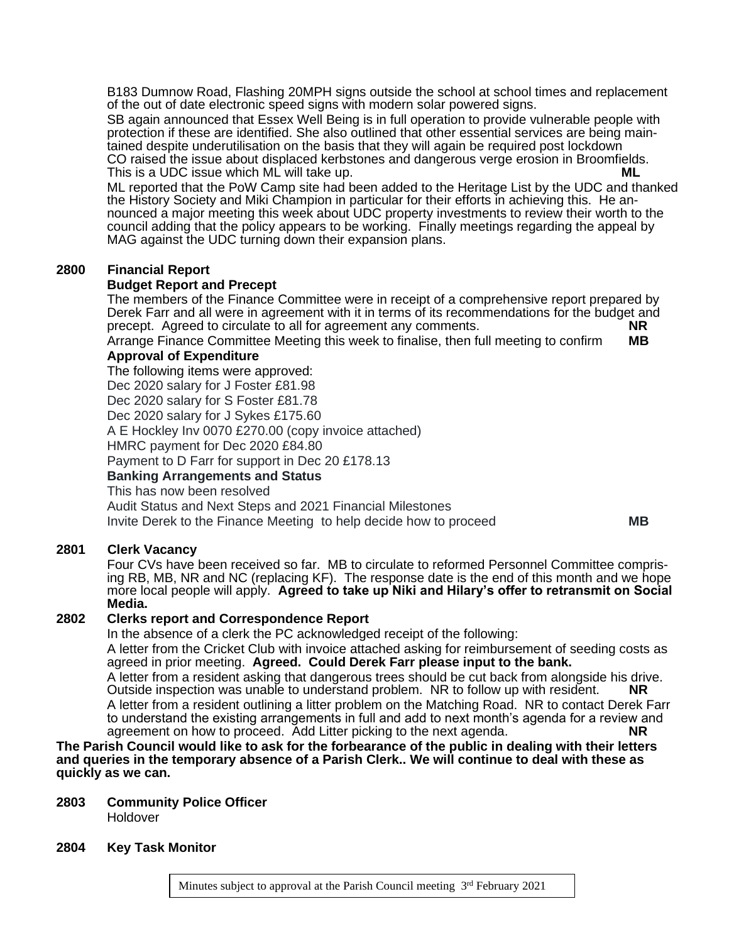B183 Dumnow Road, Flashing 20MPH signs outside the school at school times and replacement of the out of date electronic speed signs with modern solar powered signs.

SB again announced that Essex Well Being is in full operation to provide vulnerable people with protection if these are identified. She also outlined that other essential services are being maintained despite underutilisation on the basis that they will again be required post lockdown CO raised the issue about displaced kerbstones and dangerous verge erosion in Broomfields. This is a UDC issue which ML will take up. **ML**

ML reported that the PoW Camp site had been added to the Heritage List by the UDC and thanked the History Society and Miki Champion in particular for their efforts in achieving this. He announced a major meeting this week about UDC property investments to review their worth to the council adding that the policy appears to be working. Finally meetings regarding the appeal by MAG against the UDC turning down their expansion plans.

#### **2800 Financial Report**

#### **Budget Report and Precept**

The members of the Finance Committee were in receipt of a comprehensive report prepared by Derek Farr and all were in agreement with it in terms of its recommendations for the budget and precept. Agreed to circulate to all for agreement any comments. precept. Agreed to circulate to all for agreement any comments.

Arrange Finance Committee Meeting this week to finalise, then full meeting to confirm **MB Approval of Expenditure**

The following items were approved: Dec 2020 salary for J Foster £81.98 Dec 2020 salary for S Foster £81.78 Dec 2020 salary for J Sykes £175.60 A E Hockley Inv 0070 £270.00 (copy invoice attached) HMRC payment for Dec 2020 £84.80 Payment to D Farr for support in Dec 20 £178.13 **Banking Arrangements and Status** This has now been resolved

Audit Status and Next Steps and 2021 Financial Milestones Invite Derek to the Finance Meeting to help decide how to proceed **MB**

#### **2801 Clerk Vacancy**

Four CVs have been received so far. MB to circulate to reformed Personnel Committee comprising RB, MB, NR and NC (replacing KF). The response date is the end of this month and we hope more local people will apply. **Agreed to take up Niki and Hilary's offer to retransmit on Social Media.**

#### **2802 Clerks report and Correspondence Report**

In the absence of a clerk the PC acknowledged receipt of the following:

A letter from the Cricket Club with invoice attached asking for reimbursement of seeding costs as agreed in prior meeting. **Agreed. Could Derek Farr please input to the bank.**

A letter from a resident asking that dangerous trees should be cut back from alongside his drive. Outside inspection was unable to understand problem. NR to follow up with resident. **NR** A letter from a resident outlining a litter problem on the Matching Road. NR to contact Derek Farr to understand the existing arrangements in full and add to next month's agenda for a review and agreement on how to proceed. Add Litter picking to the next agenda. **NR**

#### **The Parish Council would like to ask for the forbearance of the public in dealing with their letters and queries in the temporary absence of a Parish Clerk.. We will continue to deal with these as quickly as we can.**

# **2803 Community Police Officer**

Holdover

#### **2804 Key Task Monitor**

Minutes subject to approval at the Parish Council meeting 3<sup>rd</sup> February 2021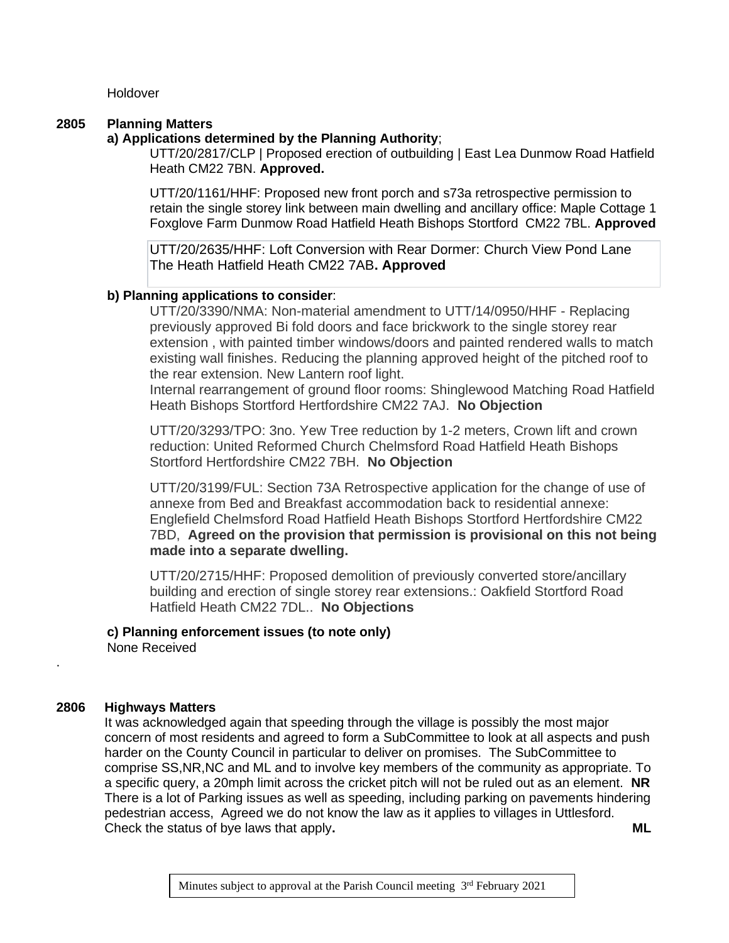**Holdover** 

## **2805 Planning Matters**

# **a) Applications determined by the Planning Authority**;

UTT/20/2817/CLP | Proposed erection of outbuilding | East Lea Dunmow Road Hatfield Heath CM22 7BN. **Approved.**

UTT/20/1161/HHF: Proposed new front porch and s73a retrospective permission to retain the single storey link between main dwelling and ancillary office: Maple Cottage 1 Foxglove Farm Dunmow Road Hatfield Heath Bishops Stortford CM22 7BL. **Approved**

UTT/20/2635/HHF: Loft Conversion with Rear Dormer: Church View Pond Lane The Heath Hatfield Heath CM22 7AB**. Approved**

## **b) Planning applications to consider**:

UTT/20/3390/NMA: Non-material amendment to UTT/14/0950/HHF - Replacing previously approved Bi fold doors and face brickwork to the single storey rear extension , with painted timber windows/doors and painted rendered walls to match existing wall finishes. Reducing the planning approved height of the pitched roof to the rear extension. New Lantern roof light.

Internal rearrangement of ground floor rooms: Shinglewood Matching Road Hatfield Heath Bishops Stortford Hertfordshire CM22 7AJ. **No Objection**

UTT/20/3293/TPO: 3no. Yew Tree reduction by 1-2 meters, Crown lift and crown reduction: United Reformed Church Chelmsford Road Hatfield Heath Bishops Stortford Hertfordshire CM22 7BH. **No Objection**

UTT/20/3199/FUL: Section 73A Retrospective application for the change of use of annexe from Bed and Breakfast accommodation back to residential annexe: Englefield Chelmsford Road Hatfield Heath Bishops Stortford Hertfordshire CM22 7BD, **Agreed on the provision that permission is provisional on this not being made into a separate dwelling.**

UTT/20/2715/HHF: Proposed demolition of previously converted store/ancillary building and erection of single storey rear extensions.: Oakfield Stortford Road Hatfield Heath CM22 7DL.. **No Objections**

#### **c) Planning enforcement issues (to note only)** None Received

# **2806 Highways Matters**

.

It was acknowledged again that speeding through the village is possibly the most major concern of most residents and agreed to form a SubCommittee to look at all aspects and push harder on the County Council in particular to deliver on promises. The SubCommittee to comprise SS,NR,NC and ML and to involve key members of the community as appropriate. To a specific query, a 20mph limit across the cricket pitch will not be ruled out as an element. **NR** There is a lot of Parking issues as well as speeding, including parking on pavements hindering pedestrian access, Agreed we do not know the law as it applies to villages in Uttlesford. Check the status of bye laws that apply**. ML**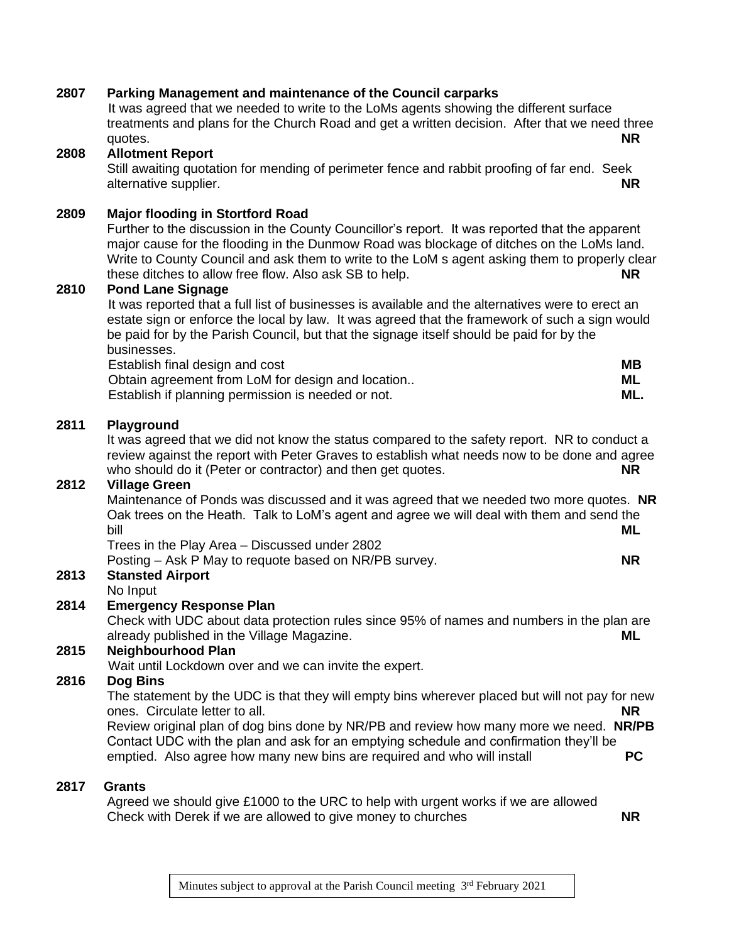|      | yuuto.                                                                                                                                                                                                                                                                                                                                                                                                                             | <b>NK</b>              |
|------|------------------------------------------------------------------------------------------------------------------------------------------------------------------------------------------------------------------------------------------------------------------------------------------------------------------------------------------------------------------------------------------------------------------------------------|------------------------|
| 2808 | <b>Allotment Report</b><br>Still awaiting quotation for mending of perimeter fence and rabbit proofing of far end. Seek<br>alternative supplier.                                                                                                                                                                                                                                                                                   | <b>NR</b>              |
| 2809 | <b>Major flooding in Stortford Road</b><br>Further to the discussion in the County Councillor's report. It was reported that the apparent<br>major cause for the flooding in the Dunmow Road was blockage of ditches on the LoMs land.<br>Write to County Council and ask them to write to the LoM s agent asking them to properly clea<br>these ditches to allow free flow. Also ask SB to help.                                  | NR                     |
| 2810 | <b>Pond Lane Signage</b><br>It was reported that a full list of businesses is available and the alternatives were to erect an<br>estate sign or enforce the local by law. It was agreed that the framework of such a sign would<br>be paid for by the Parish Council, but that the signage itself should be paid for by the<br>businesses.<br>Establish final design and cost<br>Obtain agreement from LoM for design and location | <b>MB</b><br>ML        |
|      | Establish if planning permission is needed or not.                                                                                                                                                                                                                                                                                                                                                                                 | ML.                    |
| 2811 | Playground<br>It was agreed that we did not know the status compared to the safety report. NR to conduct a<br>review against the report with Peter Graves to establish what needs now to be done and agree<br>who should do it (Peter or contractor) and then get quotes.                                                                                                                                                          | NR.                    |
| 2812 | <b>Village Green</b><br>Maintenance of Ponds was discussed and it was agreed that we needed two more quotes. NF<br>Oak trees on the Heath. Talk to LoM's agent and agree we will deal with them and send the<br>bill<br>Trees in the Play Area - Discussed under 2802                                                                                                                                                              | <b>ML</b>              |
| 2813 | Posting – Ask P May to requote based on NR/PB survey.<br><b>Stansted Airport</b>                                                                                                                                                                                                                                                                                                                                                   | <b>NR</b>              |
| 2814 | No Input<br><b>Emergency Response Plan</b><br>Check with UDC about data protection rules since 95% of names and numbers in the plan are<br>already published in the Village Magazine.                                                                                                                                                                                                                                              | ML                     |
| 2815 | <b>Neighbourhood Plan</b><br>Wait until Lockdown over and we can invite the expert.                                                                                                                                                                                                                                                                                                                                                |                        |
| 2816 | Dog Bins<br>The statement by the UDC is that they will empty bins wherever placed but will not pay for new<br>ones. Circulate letter to all.<br>Review original plan of dog bins done by NR/PB and review how many more we need. NR/PB<br>Contact UDC with the plan and ask for an emptying schedule and confirmation they'll be<br>emptied. Also agree how many new bins are required and who will install                        | <b>NR</b><br><b>PC</b> |
| 2817 | <b>Grants</b><br>Agreed we should give £1000 to the URC to help with urgent works if we are allowed<br>Check with Derek if we are allowed to give money to churches                                                                                                                                                                                                                                                                | <b>NR</b>              |

# **2807 Parking Management and maintenance of the Council carparks**

It was agreed that we needed to write to the LoMs agents showing the different surface treatments and plans for the Church Road and get a written decision. After that we need three<br>NP quotes. **NR**